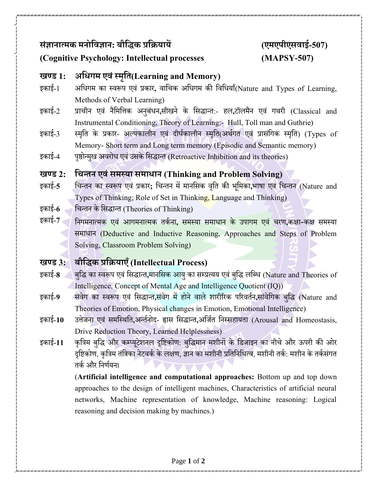# **संज्ञानात्मक मनोविज्ञान: बौविक प्रवियायें (एमएपीएसिाई-507)**

## **(Cognitive Psychology: Intellectual processes (MAPSY-507)**

# **खण्ड 1: अविगम एिंस्मृवि(Learning and Memory)**

- इकाई-1 अधिगम का स्वरूप एवं प्रकार**,** वाधिक अधिगम की धवधियााँ(Nature and Types of Learning, Methods of Verbal Learning)
- इकाई-2 प्रािीन एवं नैधमधिक अनुबंिन**,**सीखने के धसद्धान्त:- हल**,**टॉलमनै एवं गथरी (Classical and Instrumental Conditioning, Theory of Learning:- Hull, Toll man and Guthrie)
- इकाई-3 स्मृति के प्रकार- अल्पकालीन एवं दीर्घकालीन स्मृति(अर्थगत एवं प्रासंगिक स्मृति) (Types of Memory- Short term and Long term memory (Episodic and Semantic memory)
- इकाई-4 पृष्ठोन्मुख अवरोध एवं उसके सिद्धान्त (Retroactive Inhibition and its theories)

#### **खण्ड 2: विन्िन एिंसमस्या समािान (Thinking and Problem Solving)**

- इकाई-**5** धिन्तन का स्वरूप एवं प्रकार**;** धिन्तन मेंमानधसक वधृत की भधूमका**,**भाषा एवं धिन्तन (Nature and Types of Thinking; Role of Set in Thinking, Language and Thinking)
- इकाई-**6** धिन्तन के धसद्धान्त (Theories of Thinking)
- इकाई-**7** धनगमनात्मक एवं आगमनात्मक तकघ ना**,** समस्या समािान के उपागम एवं िरण**,**कक्षा-कक्ष समस्या समािान (Deductive and Inductive Reasoning, Approaches and Steps of Problem Solving, Classroom Problem Solving)

## **खण्ड 3: बौविक प्रवियाएँ (Intellectual Process)**

- इकाई-8 बुद्धि का स्वरूप एवं सिद्धान्त,मानसिक आयु का सम्प्रत्यय एवं बुद्धि लब्धि (Nature and Theories of Intelligence, Concept of Mental Age and Intelligence Quotient (IQ))
- इकाई-**9** संवगे का स्वरूप एवं धसद्धान्त**,**संवगे मेंहोनेवालेशारीररक पररवतघन**,**सांवधेगक बधुद्ध (Nature and Theories of Emotion, Physical changes in Emotion, Emotional Intelligence)
- इकाई-10 उत्तेजना एवं समस्थिति,अन्तीनोद- हास सिद्धान्त,अर्जित निस्सहायता (Arousal and Homeostasis, Drive Reduction Theory, Learned Helplessness)
- इकाई-11 कृत्रिम बुद्धि और कम्प्यूटेशनल दृष्टिकोण: बुद्धिमान मशीनों के डिजाइन का नीचे और ऊपरी की ओर दृष्टिकोण, कृत्रिम तंत्रिका नेटवर्क के लक्षण, ज्ञान का मशीनी प्रतिनिधित्व, मशीनी तर्क: मशीन के तर्कसंगत तर्क और निर्णयन।

(**Artificial intelligence and computational approaches:** Bottom up and top down approaches to the design of intelligent machines, Characteristics of artificial neural networks, Machine representation of knowledge, Machine reasoning: Logical reasoning and decision making by machines.)